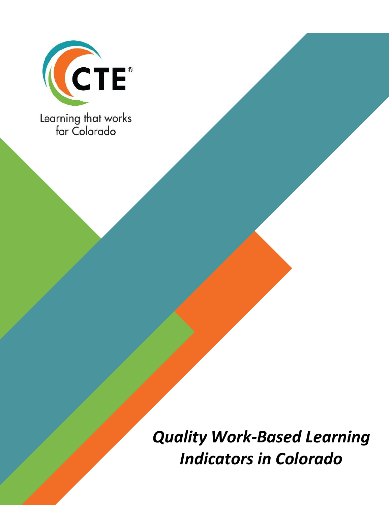

*Quality Work-Based Learning Indicators in Colorado*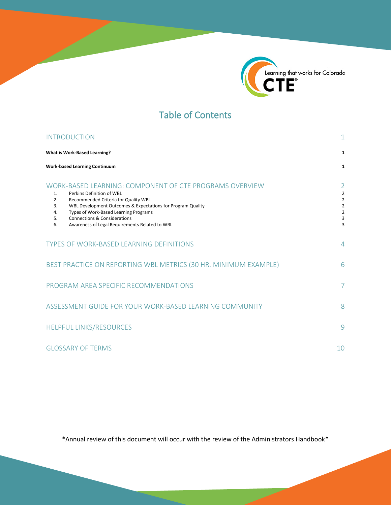

# Table of Contents

| <b>INTRODUCTION</b>                                                                                                                                                                                                                                                                                                                                                   |                                                                                                  |  |
|-----------------------------------------------------------------------------------------------------------------------------------------------------------------------------------------------------------------------------------------------------------------------------------------------------------------------------------------------------------------------|--------------------------------------------------------------------------------------------------|--|
| What is Work-Based Learning?                                                                                                                                                                                                                                                                                                                                          | 1                                                                                                |  |
| <b>Work-based Learning Continuum</b>                                                                                                                                                                                                                                                                                                                                  | 1                                                                                                |  |
| WORK-BASED LEARNING: COMPONENT OF CTE PROGRAMS OVERVIEW<br>Perkins Definition of WBL<br>1.<br>Recommended Criteria for Quality WBL<br>2.<br>WBL Development Outcomes & Expectations for Program Quality<br>3.<br>Types of Work-Based Learning Programs<br>4.<br><b>Connections &amp; Considerations</b><br>5.<br>Awareness of Legal Requirements Related to WBL<br>6. | $\overline{2}$<br>$\overline{2}$<br>$\overline{2}$<br>$\overline{2}$<br>$\overline{2}$<br>3<br>3 |  |
| TYPES OF WORK-BASED LEARNING DEFINITIONS                                                                                                                                                                                                                                                                                                                              | $\overline{4}$                                                                                   |  |
| BEST PRACTICE ON REPORTING WBL METRICS (30 HR. MINIMUM EXAMPLE)                                                                                                                                                                                                                                                                                                       | 6                                                                                                |  |
| PROGRAM AREA SPECIFIC RECOMMENDATIONS                                                                                                                                                                                                                                                                                                                                 | 7                                                                                                |  |
| ASSESSMENT GUIDE FOR YOUR WORK-BASED LEARNING COMMUNITY                                                                                                                                                                                                                                                                                                               | 8                                                                                                |  |
| <b>HELPFUL LINKS/RESOURCES</b>                                                                                                                                                                                                                                                                                                                                        | 9                                                                                                |  |
| <b>GLOSSARY OF TERMS</b>                                                                                                                                                                                                                                                                                                                                              | 10                                                                                               |  |

\*Annual review of this document will occur with the review of the Administrators Handbook\*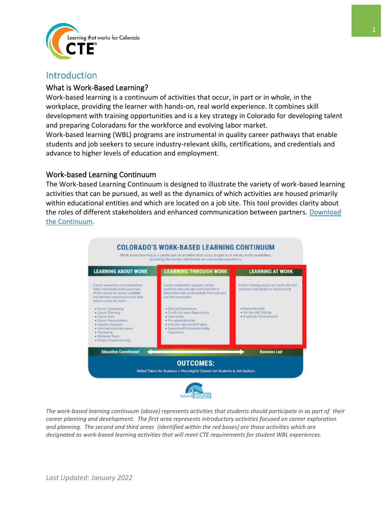

## <span id="page-2-0"></span>**Introduction**

### <span id="page-2-1"></span>What is Work-Based Learning?

Work-based learning is a continuum of activities that occur, in part or in whole, in the workplace, providing the learner with hands-on, real world experience. It combines skill development with training opportunities and is a key strategy in Colorado for developing talent and preparing Coloradans for the workforce and evolving labor market.

Work-based learning (WBL) programs are instrumental in quality career pathways that enable students and job seekers to secure industry-relevant skills, certifications, and credentials and advance to higher levels of education and employment.

#### <span id="page-2-2"></span>Work-based Learning Continuum

The Work-based Learning Continuum is designed to illustrate the variety of work-based learning activities that can be pursued, as well as the dynamics of which activities are housed primarily within educational entities and which are located on a job site. This tool provides clarity about the roles of different stakeholders and enhanced communication between partners. [Download](https://drive.google.com/file/d/1v56FJkKUm-hkzROiMfHuB-y3Dv-htiem/view?usp=sharing)  [the Continuum.](https://drive.google.com/file/d/1v56FJkKUm-hkzROiMfHuB-y3Dv-htiem/view?usp=sharing)



*The work-based learning continuum (above) represents activities that students should participate in as part of their career planning and development. The first area represents introductory activities focused on career exploration and planning. The second and third areas (identified within the red boxes) are those activities which are designated as work-based learning activities that will meet CTE requirements for student WBL experiences.*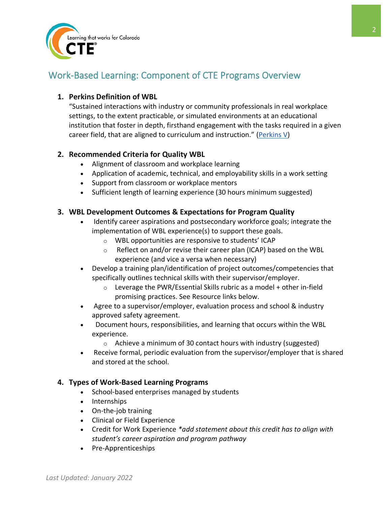

# <span id="page-3-0"></span>Work-Based Learning: Component of CTE Programs Overview

### <span id="page-3-1"></span>**1. Perkins Definition of WBL**

"Sustained interactions with industry or community professionals in real workplace settings, to the extent practicable, or simulated environments at an educational institution that foster in depth, firsthand engagement with the tasks required in a given career field, that are aligned to curriculum and instruction." [\(Perkins V\)](https://www.govinfo.gov/content/pkg/COMPS-3096/pdf/COMPS-3096.pdf)

### <span id="page-3-2"></span>**2. Recommended Criteria for Quality WBL**

- Alignment of classroom and workplace learning
- Application of academic, technical, and employability skills in a work setting
- Support from classroom or workplace mentors
- Sufficient length of learning experience (30 hours minimum suggested)

### <span id="page-3-3"></span>**3. WBL Development Outcomes & Expectations for Program Quality**

- Identify career aspirations and postsecondary workforce goals; integrate the implementation of WBL experience(s) to support these goals.
	- o WBL opportunities are responsive to students' ICAP
	- o Reflect on and/or revise their career plan (ICAP) based on the WBL experience (and vice a versa when necessary)
- Develop a training plan/identification of project outcomes/competencies that specifically outlines technical skills with their supervisor/employer.
	- $\circ$  Leverage the PWR/Essential Skills rubric as a model + other in-field promising practices. See Resource links below.
- Agree to a supervisor/employer, evaluation process and school & industry approved safety agreement.
- Document hours, responsibilities, and learning that occurs within the WBL experience.
	- o Achieve a minimum of 30 contact hours with industry (suggested)
- Receive formal, periodic evaluation from the supervisor/employer that is shared and stored at the school.

#### <span id="page-3-4"></span>**4. Types of Work-Based Learning Programs**

- School-based enterprises managed by students
- Internships
- On-the-job training
- Clinical or Field Experience
- Credit for Work Experience *\*add statement about this credit has to align with student's career aspiration and program pathway*
- Pre-Apprenticeships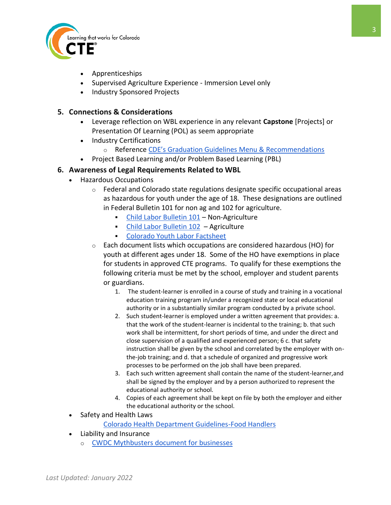

- Apprenticeships
- Supervised Agriculture Experience Immersion Level only
- Industry Sponsored Projects

#### <span id="page-4-0"></span>**5. Connections & Considerations**

- Leverage reflection on WBL experience in any relevant **Capstone** [Projects] or Presentation Of Learning (POL) as seem appropriate
- Industry Certifications
	- o Reference [CDE's Graduation Guidelines Menu & Recommendations](https://www.cde.state.co.us/postsecondary/graduationguidelines)
- Project Based Learning and/or Problem Based Learning (PBL)

#### <span id="page-4-1"></span>**6. Awareness of Legal Requirements Related to WBL**

- Hazardous Occupations
	- o Federal and Colorado state regulations designate specific occupational areas as hazardous for youth under the age of 18. These designations are outlined in Federal Bulletin 101 for non ag and 102 for agriculture.
		- [Child Labor Bulletin 101](https://www.dol.gov/sites/dolgov/files/WHD/legacy/files/childlabor101.pdf) Non-Agriculture
		- [Child Labor Bulletin 102](https://www.dol.gov/sites/dolgov/files/WHD/legacy/files/childlabor102.pdf) Agriculture
		- Colorado [Youth Labor Factsheet](https://www.colorado.gov/pacific/sites/default/files/Youth%20Law%20Fact%20Sheet%20August%202016.pdf)
	- o Each document lists which occupations are considered hazardous (HO) for youth at different ages under 18. Some of the HO have exemptions in place for students in approved CTE programs. To qualify for these exemptions the following criteria must be met by the school, employer and student parents or guardians.
		- 1. The student-learner is enrolled in a course of study and training in a vocational education training program in/under a recognized state or local educational authority or in a substantially similar program conducted by a private school.
		- 2. Such student-learner is employed under a written agreement that provides: a. that the work of the student-learner is incidental to the training; b. that such work shall be intermittent, for short periods of time, and under the direct and close supervision of a qualified and experienced person; 6 c. that safety instruction shall be given by the school and correlated by the employer with onthe-job training; and d. that a schedule of organized and progressive work processes to be performed on the job shall have been prepared.
		- 3. Each such written agreement shall contain the name of the student-learner,and shall be signed by the employer and by a person authorized to represent the educational authority or school.
		- 4. Copies of each agreement shall be kept on file by both the employer and either the educational authority or the school.
- Safety and Health Laws

Colorado Health Department Guidelines-Food Handlers

- Liability and Insurance
	- o CWDC [Mythbusters d](https://drive.google.com/file/d/1XasURwjSqo16XNdTpawKamjw86tkpRTD/view)ocument for businesses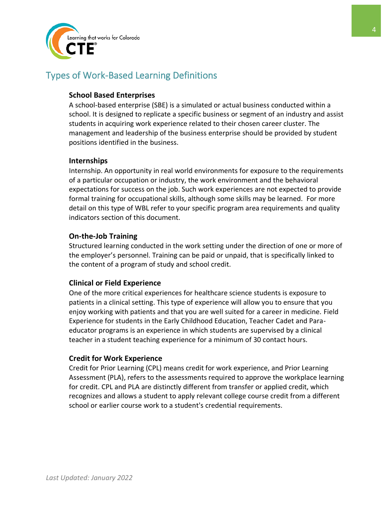

# <span id="page-5-0"></span>Types of Work-Based Learning Definitions

### **School Based Enterprises**

A school-based enterprise (SBE) is a simulated or actual business conducted within a school. It is designed to replicate a specific business or segment of an industry and assist students in acquiring work experience related to their chosen career cluster. The management and leadership of the business enterprise should be provided by student positions identified in the business.

#### **Internships**

Internship. An opportunity in real world environments for exposure to the requirements of a particular occupation or industry, the work environment and the behavioral expectations for success on the job. Such work experiences are not expected to provide formal training for occupational skills, although some skills may be learned. For more detail on this type of WBL refer to your specific program area requirements and quality indicators section of this document.

#### **On-the-Job Training**

Structured learning conducted in the work setting under the direction of one or more of the employer's personnel. Training can be paid or unpaid, that is specifically linked to the content of a program of study and school credit.

#### **Clinical or Field Experience**

One of the more critical experiences for healthcare science students is exposure to patients in a clinical setting. This type of experience will allow you to ensure that you enjoy working with patients and that you are well suited for a career in medicine. Field Experience for students in the Early Childhood Education, Teacher Cadet and Paraeducator programs is an experience in which students are supervised by a clinical teacher in a student teaching experience for a minimum of 30 contact hours.

#### **Credit for Work Experience**

Credit for Prior Learning (CPL) means credit for work experience, and Prior Learning Assessment (PLA), refers to the assessments required to approve the workplace learning for credit. CPL and PLA are distinctly different from transfer or applied credit, which recognizes and allows a student to apply relevant college course credit from a different school or earlier course work to a student's credential requirements.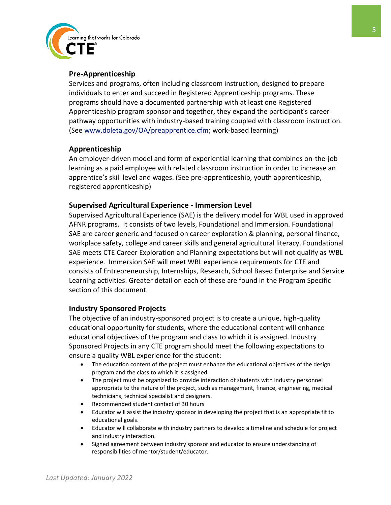

#### **Pre-Apprenticeship**

Services and programs, often including classroom instruction, designed to prepare individuals to enter and succeed in Registered Apprenticeship programs. These programs should have a documented partnership with at least one Registered Apprenticeship program sponsor and together, they expand the participant's career pathway opportunities with industry-based training coupled with classroom instruction. (See [www.doleta.gov/OA/preapprentice.cfm;](http://www.doleta.gov/OA/preapprentice.cfm) work-based learning)

#### **Apprenticeship**

An employer-driven model and form of experiential learning that combines on-the-job learning as a paid employee with related classroom instruction in order to increase an apprentice's skill level and wages. (See pre-apprenticeship, youth apprenticeship, registered apprenticeship)

#### **Supervised Agricultural Experience - Immersion Level**

Supervised Agricultural Experience (SAE) is the delivery model for WBL used in approved AFNR programs. It consists of two levels, Foundational and Immersion. Foundational SAE are career generic and focused on career exploration & planning, personal finance, workplace safety, college and career skills and general agricultural literacy. Foundational SAE meets CTE Career Exploration and Planning expectations but will not qualify as WBL experience. Immersion SAE will meet WBL experience requirements for CTE and consists of Entrepreneurship, Internships, Research, School Based Enterprise and Service Learning activities. Greater detail on each of these are found in the Program Specific section of this document.

#### **Industry Sponsored Projects**

The objective of an industry-sponsored project is to create a unique, high-quality educational opportunity for students, where the educational content will enhance educational objectives of the program and class to which it is assigned. Industry Sponsored Projects in any CTE program should meet the following expectations to ensure a quality WBL experience for the student:

- The education content of the project must enhance the educational objectives of the design program and the class to which it is assigned.
- The project must be organized to provide interaction of students with industry personnel appropriate to the nature of the project, such as management, finance, engineering, medical technicians, technical specialist and designers.
- Recommended student contact of 30 hours
- Educator will assist the industry sponsor in developing the project that is an appropriate fit to educational goals.
- Educator will collaborate with industry partners to develop a timeline and schedule for project and industry interaction.
- Signed agreement between industry sponsor and educator to ensure understanding of responsibilities of mentor/student/educator.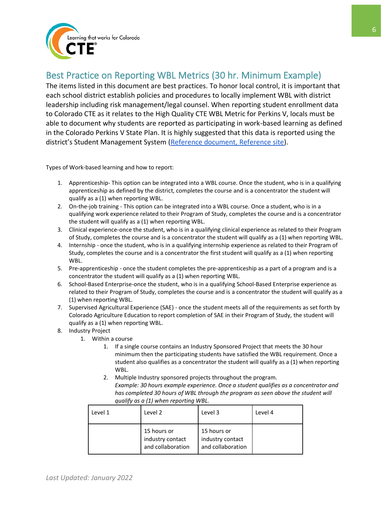

# <span id="page-7-0"></span>Best Practice on Reporting WBL Metrics (30 hr. Minimum Example)

The items listed in this document are best practices. To honor local control, it is important that each school district establish policies and procedures to locally implement WBL with district leadership including risk management/legal counsel. When reporting student enrollment data to Colorado CTE as it relates to the High Quality CTE WBL Metric for Perkins V, locals must be able to document why students are reported as participating in work-based learning as defined in the Colorado Perkins V State Plan. It is highly suggested that this data is reported using the district's Student Management System [\(Reference document,](https://drive.google.com/file/d/1gKG-m5Wb_xWJenfPkdLM3JToiFUFJtht/view?usp=sharing) [Reference site\)](http://coloradostateplan.com/ve-135/).

Types of Work-based learning and how to report:

- 1. Apprenticeship- This option can be integrated into a WBL course. Once the student, who is in a qualifying apprenticeship as defined by the district, completes the course and is a concentrator the student will qualify as a (1) when reporting WBL.
- 2. On-the-job training This option can be integrated into a WBL course. Once a student, who is in a qualifying work experience related to their Program of Study, completes the course and is a concentrator the student will qualify as a (1) when reporting WBL.
- 3. Clinical experience-once the student, who is in a qualifying clinical experience as related to their Program of Study, completes the course and is a concentrator the student will qualify as a (1) when reporting WBL.
- 4. Internship once the student, who is in a qualifying internship experience as related to their Program of Study, completes the course and is a concentrator the first student will qualify as a (1) when reporting WBL.
- 5. Pre-apprenticeship once the student completes the pre-apprenticeship as a part of a program and is a concentrator the student will qualify as a (1) when reporting WBL.
- 6. School-Based Enterprise-once the student, who is in a qualifying School-Based Enterprise experience as related to their Program of Study, completes the course and is a concentrator the student will qualify as a (1) when reporting WBL.
- 7. Supervised Agricultural Experience (SAE) once the student meets all of the requirements as set forth by Colorado Agriculture Education to report completion of SAE in their Program of Study, the student will qualify as a (1) when reporting WBL.
- 8. Industry Project
	- 1. Within a course
		- 1. If a single course contains an Industry Sponsored Project that meets the 30 hour minimum then the participating students have satisfied the WBL requirement. Once a student also qualifies as a concentrator the student will qualify as a (1) when reporting WBL.
		- 2. Multiple Industry sponsored projects throughout the program. *Example: 30 hours example experience. Once a student qualifies as a concentrator and has completed 30 hours of WBL through the program as seen above the student will qualify as a (1) when reporting WBL.*

| Level 1 | Level 2                                              | Level 3                                              | Level 4 |
|---------|------------------------------------------------------|------------------------------------------------------|---------|
|         | 15 hours or<br>industry contact<br>and collaboration | 15 hours or<br>industry contact<br>and collaboration |         |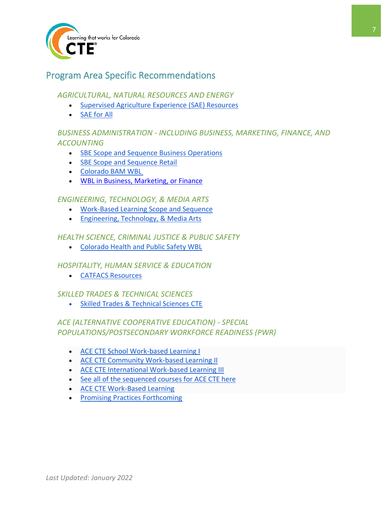

# <span id="page-8-0"></span>Program Area Specific Recommendations

### *AGRICULTURAL, NATURAL RESOURCES AND ENERGY*

- [Supervised Agriculture Experience \(SAE\) Resources](http://coloradostateplan.com/wp-content/uploads/2021/04/Work-Based-Learning-In-Agriculture-WBL-Guidance-QI.pdf)
- [SAE for All](https://saeforall.org/)

## *BUSINESS ADMINISTRATION - INCLUDING BUSINESS, MARKETING, FINANCE, AND ACCOUNTING*

- [SBE Scope and Sequence Business Operations](http://coloradostateplan.com/wp-content/uploads/2020/04/School-based-Entreprise-Operations_Management-SS-.pdf)
- [SBE Scope and Sequence Retail](http://coloradostateplan.com/wp-content/uploads/2020/04/School-based-Enterprise-Retail-SS.pdf)
- [Colorado BAM WBL](https://sites.google.com/view/coloradobam/work-based-learning)
- [WBL in Business, Marketing, or Finance](http://coloradostateplan.com/wp-content/uploads/2020/04/Work-Based-Learning-WBL-BusinessFinance-Marketing.pdf)

### *ENGINEERING, TECHNOLOGY, & MEDIA ARTS*

- [Work-Based Learning Scope and Sequence](http://coloradostateplan.com/wp-content/uploads/2020/05/Level-4_Work-Based-Learning-1.pdf)
- [Engineering, Technology, & Media Arts](http://coloradostateplan.com/educator/stem-arts-design-and-information-technology/)

### *HEALTH SCIENCE, CRIMINAL JUSTICE & PUBLIC SAFETY*

• [Colorado Health and Public Safety WBL](https://sites.google.com/view/coloradohealthandpublicsafety/home)

## *HOSPITALITY, HUMAN SERVICE & EDUCATION*

• [CATFACS Resources](https://www.catfacs.org/resources)

#### *SKILLED TRADES & TECHNICAL SCIENCES*

• [Skilled Trades & Technical Sciences](http://coloradostateplan.com/educator/skilled-trades/) CTE

## *ACE (ALTERNATIVE COOPERATIVE EDUCATION) - SPECIAL POPULATIONS/POSTSECONDARY WORKFORCE READINESS (PWR)*

- [ACE CTE School Work-based Learning I](http://coloradostateplan.com/wp-content/uploads/2020/03/ACE-CTE-WBL-I-Matrix.docx.pdf)
- [ACE CTE Community Work-based Learning II](http://coloradostateplan.com/wp-content/uploads/2020/03/ACE-CTE-WBL-II-Matrix.docx.pdf)
- [ACE CTE International Work-based Learning III](http://coloradostateplan.com/wp-content/uploads/2020/03/ACE-CTE-WBL-III-Matrix.docx.pdf)
- [See all of the sequenced courses for ACE CTE here](http://coloradostateplan.com/ace/)
- [ACE](http://coloradostateplan.com/educator/ace/ace-work-based-learning/) CTE Work-Based Learning
- [Promising Practices Forthcoming](http://coloradostateplan.com/educator/ace/ace-work-based-learning/)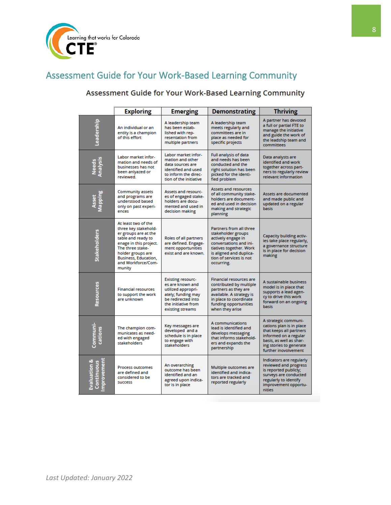

# <span id="page-9-0"></span>Assessment Guide for Your Work-Based Learning Community

# Assessment Guide for Your Work-Based Learning Community

|                                                 | <b>Exploring</b>                                                                                                                                                                                                     | <b>Emerging</b>                                                                                                                                           | Demonstrating                                                                                                                                                                                | <b>Thriving</b>                                                                                                                                                                    |
|-------------------------------------------------|----------------------------------------------------------------------------------------------------------------------------------------------------------------------------------------------------------------------|-----------------------------------------------------------------------------------------------------------------------------------------------------------|----------------------------------------------------------------------------------------------------------------------------------------------------------------------------------------------|------------------------------------------------------------------------------------------------------------------------------------------------------------------------------------|
| Leadership                                      | An individual or an<br>entity is a champion<br>of this effort                                                                                                                                                        | A leadership team<br>has been estab-<br>lished with rep-<br>resentation from<br>multiple partners                                                         | A leadership team<br>meets regularly and<br>committees are in<br>place as needed for<br>specific projects                                                                                    | A partner has devoted<br>a full or partial FTE to<br>manage the initiative<br>and guide the work of<br>the leadship team and<br>committees                                         |
| Needs<br>Analysis                               | Labor market infor-<br>mation and needs of<br>businesses has not<br>been anlyazed or<br>reviewed.                                                                                                                    | Labor market infor-<br>mation and other<br>data sources are<br>identified and used<br>to inform the direc-<br>tion of the initiative                      | Full analysis of data<br>and needs has been<br>conducted and the<br>right solution has been<br>picked for the identi-<br>fied problem                                                        | Data analysts are<br>identified and work<br>together across part-<br>ners to regularly review<br>relevant information                                                              |
| Asset<br>Mapping                                | <b>Community assets</b><br>and programs are<br>understood based<br>only on past experi-<br>ences                                                                                                                     | Assets and resourc-<br>es of engaged stake-<br>holders are docu-<br>mented and used in<br>decision making                                                 | <b>Assets and resources</b><br>of all community stake-<br>holders are document-<br>ed and used in decision<br>making and strategic<br>planning                                               | Assets are documented<br>and made public and<br>updated on a regular<br>basis                                                                                                      |
| <b>Stakeholders</b>                             | At least two of the<br>three key stakehold-<br>er groups are at the<br>table and ready to<br>enage in this project.<br>The three stake-<br>holder groups are<br>Business, Education,<br>and Workforce/Com-<br>munity | Roles of all partners<br>are defined. Engage-<br>ment opportunities<br>exist and are known.                                                               | Partners from all three<br>stakeholder groups<br>actively engage in<br>conversations and ini-<br>tiatives together. Work<br>is aligned and duplica-<br>tion of services is not<br>occurring. | Capacity building activ-<br>ies take place regularly,<br>a governance structure<br>is in place for decision<br>making                                                              |
| Resources                                       | <b>Financial resources</b><br>to support the work<br>are unknown                                                                                                                                                     | <b>Existing resourc-</b><br>es are known and<br>utilized appropri-<br>ately; funding may<br>be redirected into<br>the initiative from<br>existing streams | <b>Financial resources are</b><br>contributed by multiple<br>partners as they are<br>available. A strategy is<br>in place to coordinate<br>funding opportunities<br>when they arise          | A sustainable business<br>model is in place that<br>supports a lead agen-<br>cy to drive this work<br>forward on an ongoing<br>basis                                               |
| Communi-<br>cations                             | The champion com-<br>municates as need-<br>ed with engaged<br>stakeholders                                                                                                                                           | Key messages are<br>developed and a<br>schedule is in place<br>to engage with<br>stakeholders                                                             | A communications<br>lead is identified and<br>develops messaging<br>that informs stakehold-<br>ers and expands the<br>partnership                                                            | A strategic communi-<br>cations plan is in place<br>that keeps all partners<br>informed on a regular<br>basis, as well as shar-<br>ing stories to generate<br>further inovolvement |
| mprovement<br>Evaluation &<br><b>Continuous</b> | Process outcomes<br>are defined and<br>considered to be<br><b>SUCCESS</b>                                                                                                                                            | An overarching<br>outcome has been<br>identified and an<br>agreed upon indica-<br>tor is in place                                                         | Multiple outcomes are<br>identified and indica-<br>tors are tracked and<br>reported regularly                                                                                                | Indicators are regularly<br>reviewed and progress<br>is reported publicly;<br>surveys are conducted<br>regularly to identify<br>improvement opportu-<br>nities                     |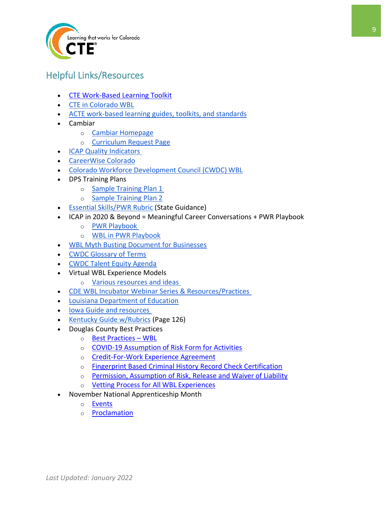

# <span id="page-10-0"></span>Helpful Links/Resources

- [CTE Work-Based Learning Toolkit](https://cte.ed.gov/wbltoolkit/)
- [CTE in Colorado WBL](http://coloradostateplan.com/educator/work-based-learning/)
- [ACTE work-based learning guides, toolkits, and standards](https://www.acteonline.org/professional-development/high-quality-cte-tools/work-based-learning/)
- Cambiar
	- o [Cambiar Homepage](https://quest.cambiareducation.org/career-discovery-projects)
	- o [Curriculum Request Page](https://quest.cambiareducation.org/curriculum)
- [ICAP Quality Indicators](/Users/hope/Desktop/o%09https:/www.cde.state.co.us/postsecondary/hsqualityindicatorsandelements)
- [CareerWise Colorado](https://www.careerwisecolorado.org/en/)
- [Colorado Workforce Development Council \(CWDC\) WBL](https://cwdc.stg.colorado.gov/guides-frameworks#Work-based%20Learning)
- DPS Training Plans
	- o [Sample Training Plan 1](http://coloradostateplan.com/wp-content/uploads/2016/02/ACEConnect-Training-Plan-and-Eval.docx)
	- o [Sample Training Plan 2](http://coloradostateplan.com/wp-content/uploads/2018/03/ACE-Training-Plan-New-Form-2014-28129.pdf)
- [Essential Skills/PWR Rubric](https://www.cde.state.co.us/standardsandinstruction/essentialskills) (State Guidance)
- ICAP in 2020 & Beyond = Meaningful Career Conversations + PWR Playbook
	- o [PWR Playbook](https://www.cde.state.co.us/postsecondary/pwrplaybookwelcome)
	- o [WBL in PWR Playbook](https://www.cde.state.co.us/postsecondary/pwrplaybookwbl)
- [WBL Myth Busting Document for Businesses](https://drive.google.com/file/d/1XasURwjSqo16XNdTpawKamjw86tkpRTD/view)
- CWDC [Glossary of Terms](https://cwdc.stg.colorado.gov/glossary)
- [CWDC Talent Equity Agenda](https://cwdc.colorado.gov/talent-equity-agenda)
- Virtual WBL Experience Models
	- o [Various resources and ideas](https://docs.google.com/document/d/15WA5HoUY-uB-yGz0Q3Zll9kaagNS2s3Yg-SW2iENhFc/edit)
- [CDE WBL Incubator Webinar Series & Resources/Practices](https://www.cde.state.co.us/postsecondary/workbasedlearning)
- Louisiana Department of Education
- [Iowa Guide and resources](https://educateiowa.gov/documents/work-based-learning/2021/09/iowa-internship-toolkit-resource-plan-launch-and-manage-high)
- [Kentucky Guide w/Rubrics](/Users/hope/Downloads/o%09https:/education.ky.gov/CTE/cter/Documents/KY-WBL-Manual.pdf) (Page 126)
- Douglas County Best Practices
	- o [Best Practices](https://drive.google.com/file/d/16eaRk4fVKkL08LTdQyMqR1HVdAvX51fi/view?usp=sharing)  WBL
	- o [COVID-19 Assumption of Risk Form for Activities](https://drive.google.com/file/d/1RNnqB3KGzN0rKM5iwZgdS8IT8Ofi40ZN/view?usp=sharing)
	- o [Credit-For-Work Experience Agreement](https://drive.google.com/file/d/187XilzessGYo_aVSGCzKhPir4v1nxBej/view?usp=sharing)
	- o [Fingerprint Based Criminal History Record Check Certification](https://drive.google.com/file/d/1G-0QSV5SDLsIj9vfE8dkEfviZwn88y0m/view?usp=sharing)
	- o [Permission, Assumption of Risk, Release and Waiver of Liability](https://drive.google.com/file/d/1_ZlkudGQXT55_qoejVQXE4hpDnnSu_2y/view?usp=sharing)
	- o [Vetting Process for All WBL Experiences](https://drive.google.com/file/d/12tQba6Vf3c8fIWW-FpL97c0n2q4mVt30/view?usp=sharing)
- November National Apprenticeship Month
	- o [Events](https://cdle.colorado.gov/apprenticeship-events)
	- o [Proclamation](https://drive.google.com/file/d/1hIWTsCN8QtkCAYOp4DCJOFs-yH1kLGwU/view)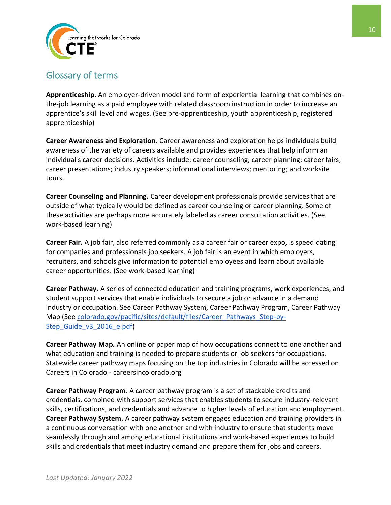

# <span id="page-11-0"></span>Glossary of terms

**Apprenticeship**. An employer-driven model and form of experiential learning that combines onthe-job learning as a paid employee with related classroom instruction in order to increase an apprentice's skill level and wages. (See pre-apprenticeship, youth apprenticeship, registered apprenticeship)

**Career Awareness and Exploration.** Career awareness and exploration helps individuals build awareness of the variety of careers available and provides experiences that help inform an individual's career decisions. Activities include: career counseling; career planning; career fairs; career presentations; industry speakers; informational interviews; mentoring; and worksite tours.

**Career Counseling and Planning.** Career development professionals provide services that are outside of what typically would be defined as career counseling or career planning. Some of these activities are perhaps more accurately labeled as career consultation activities. (See work-based learning)

**Career Fair.** A job fair, also referred commonly as a career fair or career expo, is speed dating for companies and professionals job seekers. A job fair is an event in which employers, recruiters, and schools give information to potential employees and learn about available career opportunities. (See work-based learning)

**Career Pathway.** A series of connected education and training programs, work experiences, and student support services that enable individuals to secure a job or advance in a demand industry or occupation. See Career Pathway System, Career Pathway Program, Career Pathway Map (See colorado.gov/pacific/sites/default/files/Career\_Pathways\_Step-by-Step Guide v3 2016 e.pdf)

**Career Pathway Map.** An online or paper map of how occupations connect to one another and what education and training is needed to prepare students or job seekers for occupations. Statewide career pathway maps focusing on the top industries in Colorado will be accessed on Careers in Colorado - careersincolorado.org

**Career Pathway Program.** A career pathway program is a set of stackable credits and credentials, combined with support services that enables students to secure industry-relevant skills, certifications, and credentials and advance to higher levels of education and employment. **Career Pathway System.** A career pathway system engages education and training providers in a continuous conversation with one another and with industry to ensure that students move seamlessly through and among educational institutions and work-based experiences to build skills and credentials that meet industry demand and prepare them for jobs and careers.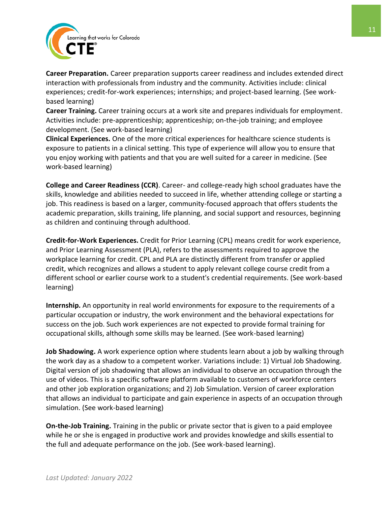

**Career Preparation.** Career preparation supports career readiness and includes extended direct interaction with professionals from industry and the community. Activities include: clinical experiences; credit-for-work experiences; internships; and project-based learning. (See workbased learning)

**Career Training.** Career training occurs at a work site and prepares individuals for employment. Activities include: pre-apprenticeship; apprenticeship; on-the-job training; and employee development. (See work-based learning)

**Clinical Experiences.** One of the more critical experiences for healthcare science students is exposure to patients in a clinical setting. This type of experience will allow you to ensure that you enjoy working with patients and that you are well suited for a career in medicine. (See work-based learning)

**College and Career Readiness (CCR)**. Career- and college-ready high school graduates have the skills, knowledge and abilities needed to succeed in life, whether attending college or starting a job. This readiness is based on a larger, community-focused approach that offers students the academic preparation, skills training, life planning, and social support and resources, beginning as children and continuing through adulthood.

**Credit-for-Work Experiences.** Credit for Prior Learning (CPL) means credit for work experience, and Prior Learning Assessment (PLA), refers to the assessments required to approve the workplace learning for credit. CPL and PLA are distinctly different from transfer or applied credit, which recognizes and allows a student to apply relevant college course credit from a different school or earlier course work to a student's credential requirements. (See work-based learning)

**Internship.** An opportunity in real world environments for exposure to the requirements of a particular occupation or industry, the work environment and the behavioral expectations for success on the job. Such work experiences are not expected to provide formal training for occupational skills, although some skills may be learned. (See work-based learning)

**Job Shadowing.** A work experience option where students learn about a job by walking through the work day as a shadow to a competent worker. Variations include: 1) Virtual Job Shadowing. Digital version of job shadowing that allows an individual to observe an occupation through the use of videos. This is a specific software platform available to customers of workforce centers and other job exploration organizations; and 2) Job Simulation. Version of career exploration that allows an individual to participate and gain experience in aspects of an occupation through simulation. (See work-based learning)

**On-the-Job Training.** Training in the public or private sector that is given to a paid employee while he or she is engaged in productive work and provides knowledge and skills essential to the full and adequate performance on the job. (See work-based learning).